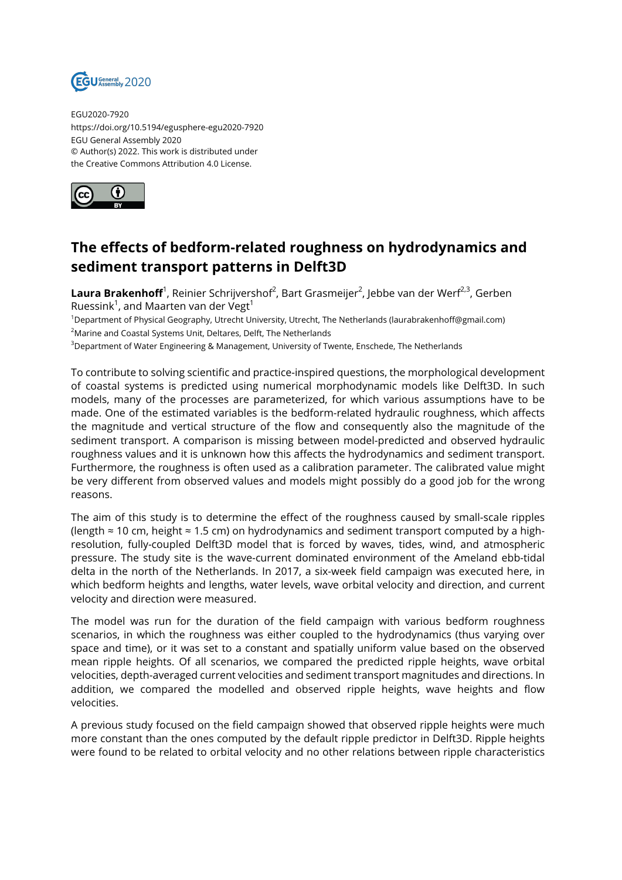

EGU2020-7920 https://doi.org/10.5194/egusphere-egu2020-7920 EGU General Assembly 2020 © Author(s) 2022. This work is distributed under the Creative Commons Attribution 4.0 License.



## **The effects of bedform-related roughness on hydrodynamics and sediment transport patterns in Delft3D**

**Laura Brakenhoff**<sup>1</sup>, Reinier Schrijvershof<sup>2</sup>, Bart Grasmeijer<sup>2</sup>, Jebbe van der Werf<sup>2,3</sup>, Gerben Ruessink $^1$ , and Maarten van der Vegt $^1$ 

<sup>1</sup>Department of Physical Geography, Utrecht University, Utrecht, The Netherlands (laurabrakenhoff@gmail.com) <sup>2</sup>Marine and Coastal Systems Unit, Deltares, Delft, The Netherlands

<sup>3</sup>Department of Water Engineering & Management, University of Twente, Enschede, The Netherlands

To contribute to solving scientific and practice-inspired questions, the morphological development of coastal systems is predicted using numerical morphodynamic models like Delft3D. In such models, many of the processes are parameterized, for which various assumptions have to be made. One of the estimated variables is the bedform-related hydraulic roughness, which affects the magnitude and vertical structure of the flow and consequently also the magnitude of the sediment transport. A comparison is missing between model-predicted and observed hydraulic roughness values and it is unknown how this affects the hydrodynamics and sediment transport. Furthermore, the roughness is often used as a calibration parameter. The calibrated value might be very different from observed values and models might possibly do a good job for the wrong reasons.

The aim of this study is to determine the effect of the roughness caused by small-scale ripples (length ≈ 10 cm, height ≈ 1.5 cm) on hydrodynamics and sediment transport computed by a highresolution, fully-coupled Delft3D model that is forced by waves, tides, wind, and atmospheric pressure. The study site is the wave-current dominated environment of the Ameland ebb-tidal delta in the north of the Netherlands. In 2017, a six-week field campaign was executed here, in which bedform heights and lengths, water levels, wave orbital velocity and direction, and current velocity and direction were measured.

The model was run for the duration of the field campaign with various bedform roughness scenarios, in which the roughness was either coupled to the hydrodynamics (thus varying over space and time), or it was set to a constant and spatially uniform value based on the observed mean ripple heights. Of all scenarios, we compared the predicted ripple heights, wave orbital velocities, depth-averaged current velocities and sediment transport magnitudes and directions. In addition, we compared the modelled and observed ripple heights, wave heights and flow velocities.

A previous study focused on the field campaign showed that observed ripple heights were much more constant than the ones computed by the default ripple predictor in Delft3D. Ripple heights were found to be related to orbital velocity and no other relations between ripple characteristics